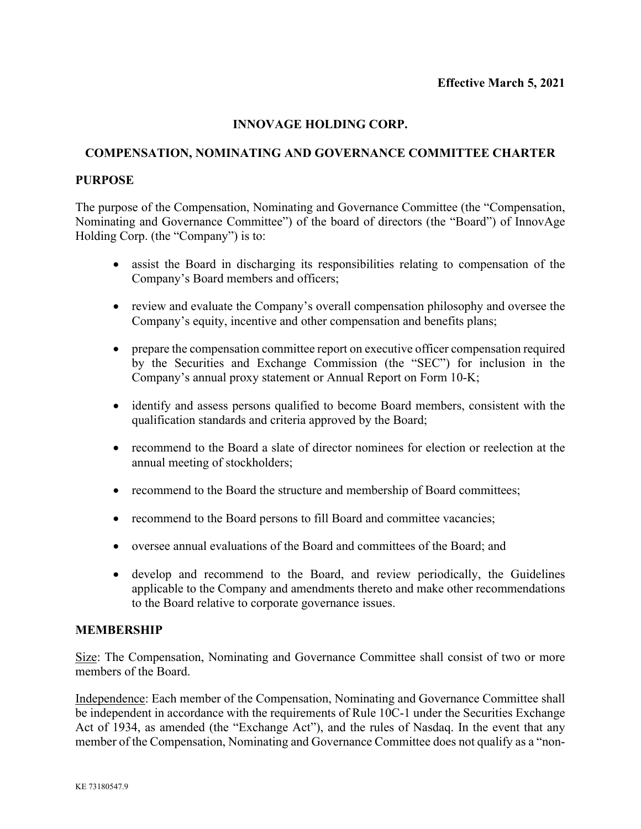# **INNOVAGE HOLDING CORP.**

# **COMPENSATION, NOMINATING AND GOVERNANCE COMMITTEE CHARTER**

## **PURPOSE**

The purpose of the Compensation, Nominating and Governance Committee (the "Compensation, Nominating and Governance Committee") of the board of directors (the "Board") of InnovAge Holding Corp. (the "Company") is to:

- assist the Board in discharging its responsibilities relating to compensation of the Company's Board members and officers;
- review and evaluate the Company's overall compensation philosophy and oversee the Company's equity, incentive and other compensation and benefits plans;
- prepare the compensation committee report on executive officer compensation required by the Securities and Exchange Commission (the "SEC") for inclusion in the Company's annual proxy statement or Annual Report on Form 10-K;
- identify and assess persons qualified to become Board members, consistent with the qualification standards and criteria approved by the Board;
- recommend to the Board a slate of director nominees for election or reelection at the annual meeting of stockholders;
- recommend to the Board the structure and membership of Board committees;
- recommend to the Board persons to fill Board and committee vacancies;
- oversee annual evaluations of the Board and committees of the Board; and
- develop and recommend to the Board, and review periodically, the Guidelines applicable to the Company and amendments thereto and make other recommendations to the Board relative to corporate governance issues.

# **MEMBERSHIP**

Size: The Compensation, Nominating and Governance Committee shall consist of two or more members of the Board.

Independence: Each member of the Compensation, Nominating and Governance Committee shall be independent in accordance with the requirements of Rule 10C-1 under the Securities Exchange Act of 1934, as amended (the "Exchange Act"), and the rules of Nasdaq. In the event that any member of the Compensation, Nominating and Governance Committee does not qualify as a "non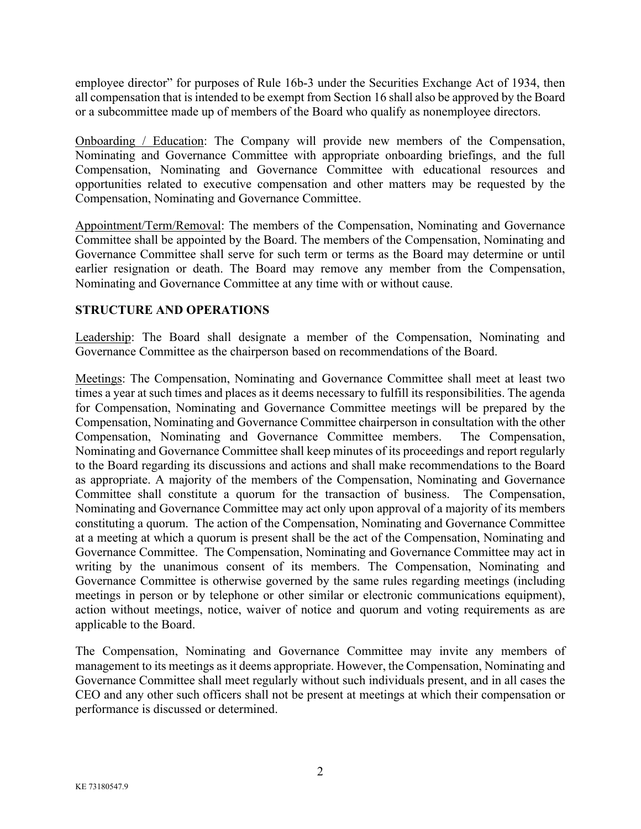employee director" for purposes of Rule 16b-3 under the Securities Exchange Act of 1934, then all compensation that is intended to be exempt from Section 16 shall also be approved by the Board or a subcommittee made up of members of the Board who qualify as nonemployee directors.

Onboarding / Education: The Company will provide new members of the Compensation, Nominating and Governance Committee with appropriate onboarding briefings, and the full Compensation, Nominating and Governance Committee with educational resources and opportunities related to executive compensation and other matters may be requested by the Compensation, Nominating and Governance Committee.

Appointment/Term/Removal: The members of the Compensation, Nominating and Governance Committee shall be appointed by the Board. The members of the Compensation, Nominating and Governance Committee shall serve for such term or terms as the Board may determine or until earlier resignation or death. The Board may remove any member from the Compensation, Nominating and Governance Committee at any time with or without cause.

# **STRUCTURE AND OPERATIONS**

Leadership: The Board shall designate a member of the Compensation, Nominating and Governance Committee as the chairperson based on recommendations of the Board.

Meetings: The Compensation, Nominating and Governance Committee shall meet at least two times a year at such times and places as it deems necessary to fulfill its responsibilities. The agenda for Compensation, Nominating and Governance Committee meetings will be prepared by the Compensation, Nominating and Governance Committee chairperson in consultation with the other Compensation, Nominating and Governance Committee members. The Compensation, Nominating and Governance Committee shall keep minutes of its proceedings and report regularly to the Board regarding its discussions and actions and shall make recommendations to the Board as appropriate. A majority of the members of the Compensation, Nominating and Governance Committee shall constitute a quorum for the transaction of business. The Compensation, Nominating and Governance Committee may act only upon approval of a majority of its members constituting a quorum. The action of the Compensation, Nominating and Governance Committee at a meeting at which a quorum is present shall be the act of the Compensation, Nominating and Governance Committee. The Compensation, Nominating and Governance Committee may act in writing by the unanimous consent of its members. The Compensation, Nominating and Governance Committee is otherwise governed by the same rules regarding meetings (including meetings in person or by telephone or other similar or electronic communications equipment), action without meetings, notice, waiver of notice and quorum and voting requirements as are applicable to the Board.

The Compensation, Nominating and Governance Committee may invite any members of management to its meetings as it deems appropriate. However, the Compensation, Nominating and Governance Committee shall meet regularly without such individuals present, and in all cases the CEO and any other such officers shall not be present at meetings at which their compensation or performance is discussed or determined.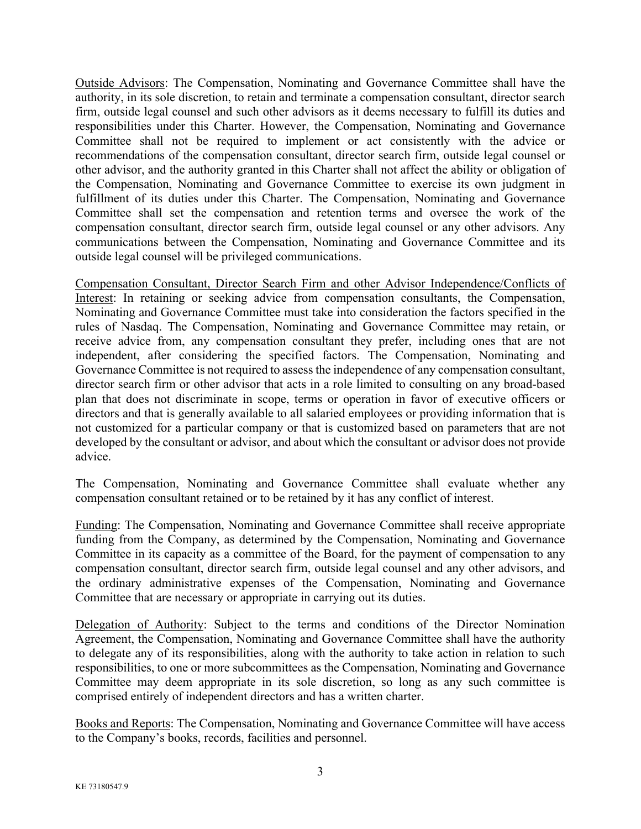Outside Advisors: The Compensation, Nominating and Governance Committee shall have the authority, in its sole discretion, to retain and terminate a compensation consultant, director search firm, outside legal counsel and such other advisors as it deems necessary to fulfill its duties and responsibilities under this Charter. However, the Compensation, Nominating and Governance Committee shall not be required to implement or act consistently with the advice or recommendations of the compensation consultant, director search firm, outside legal counsel or other advisor, and the authority granted in this Charter shall not affect the ability or obligation of the Compensation, Nominating and Governance Committee to exercise its own judgment in fulfillment of its duties under this Charter. The Compensation, Nominating and Governance Committee shall set the compensation and retention terms and oversee the work of the compensation consultant, director search firm, outside legal counsel or any other advisors. Any communications between the Compensation, Nominating and Governance Committee and its outside legal counsel will be privileged communications.

Compensation Consultant, Director Search Firm and other Advisor Independence/Conflicts of Interest: In retaining or seeking advice from compensation consultants, the Compensation, Nominating and Governance Committee must take into consideration the factors specified in the rules of Nasdaq. The Compensation, Nominating and Governance Committee may retain, or receive advice from, any compensation consultant they prefer, including ones that are not independent, after considering the specified factors. The Compensation, Nominating and Governance Committee is not required to assess the independence of any compensation consultant, director search firm or other advisor that acts in a role limited to consulting on any broad-based plan that does not discriminate in scope, terms or operation in favor of executive officers or directors and that is generally available to all salaried employees or providing information that is not customized for a particular company or that is customized based on parameters that are not developed by the consultant or advisor, and about which the consultant or advisor does not provide advice.

The Compensation, Nominating and Governance Committee shall evaluate whether any compensation consultant retained or to be retained by it has any conflict of interest.

Funding: The Compensation, Nominating and Governance Committee shall receive appropriate funding from the Company, as determined by the Compensation, Nominating and Governance Committee in its capacity as a committee of the Board, for the payment of compensation to any compensation consultant, director search firm, outside legal counsel and any other advisors, and the ordinary administrative expenses of the Compensation, Nominating and Governance Committee that are necessary or appropriate in carrying out its duties.

Delegation of Authority: Subject to the terms and conditions of the Director Nomination Agreement, the Compensation, Nominating and Governance Committee shall have the authority to delegate any of its responsibilities, along with the authority to take action in relation to such responsibilities, to one or more subcommittees as the Compensation, Nominating and Governance Committee may deem appropriate in its sole discretion, so long as any such committee is comprised entirely of independent directors and has a written charter.

Books and Reports: The Compensation, Nominating and Governance Committee will have access to the Company's books, records, facilities and personnel.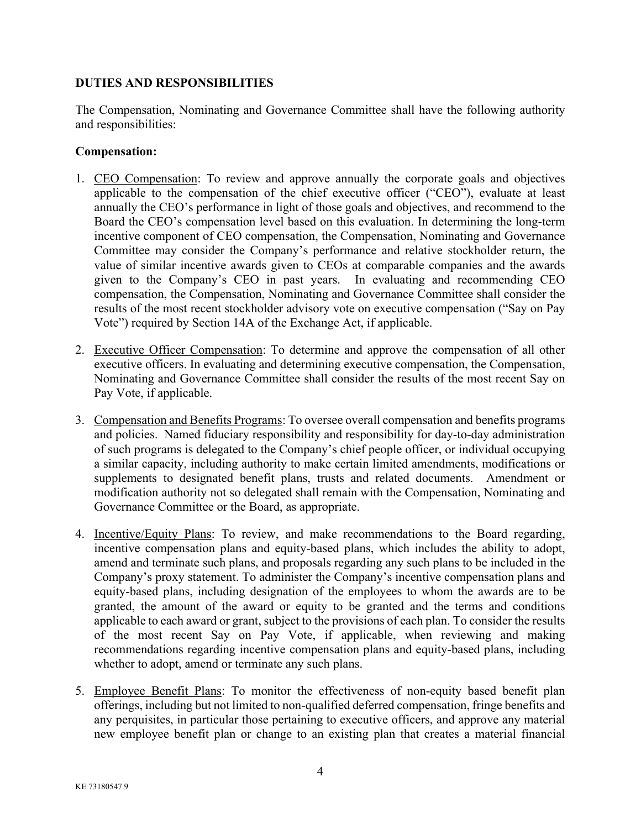## **DUTIES AND RESPONSIBILITIES**

The Compensation, Nominating and Governance Committee shall have the following authority and responsibilities:

#### **Compensation:**

- 1. CEO Compensation: To review and approve annually the corporate goals and objectives applicable to the compensation of the chief executive officer ("CEO"), evaluate at least annually the CEO's performance in light of those goals and objectives, and recommend to the Board the CEO's compensation level based on this evaluation. In determining the long-term incentive component of CEO compensation, the Compensation, Nominating and Governance Committee may consider the Company's performance and relative stockholder return, the value of similar incentive awards given to CEOs at comparable companies and the awards given to the Company's CEO in past years. In evaluating and recommending CEO compensation, the Compensation, Nominating and Governance Committee shall consider the results of the most recent stockholder advisory vote on executive compensation ("Say on Pay Vote") required by Section 14A of the Exchange Act, if applicable.
- 2. Executive Officer Compensation: To determine and approve the compensation of all other executive officers. In evaluating and determining executive compensation, the Compensation, Nominating and Governance Committee shall consider the results of the most recent Say on Pay Vote, if applicable.
- 3. Compensation and Benefits Programs: To oversee overall compensation and benefits programs and policies. Named fiduciary responsibility and responsibility for day-to-day administration of such programs is delegated to the Company's chief people officer, or individual occupying a similar capacity, including authority to make certain limited amendments, modifications or supplements to designated benefit plans, trusts and related documents. Amendment or modification authority not so delegated shall remain with the Compensation, Nominating and Governance Committee or the Board, as appropriate.
- 4. Incentive/Equity Plans: To review, and make recommendations to the Board regarding, incentive compensation plans and equity-based plans, which includes the ability to adopt, amend and terminate such plans, and proposals regarding any such plans to be included in the Company's proxy statement. To administer the Company's incentive compensation plans and equity-based plans, including designation of the employees to whom the awards are to be granted, the amount of the award or equity to be granted and the terms and conditions applicable to each award or grant, subject to the provisions of each plan. To consider the results of the most recent Say on Pay Vote, if applicable, when reviewing and making recommendations regarding incentive compensation plans and equity-based plans, including whether to adopt, amend or terminate any such plans.
- 5. Employee Benefit Plans: To monitor the effectiveness of non-equity based benefit plan offerings, including but not limited to non-qualified deferred compensation, fringe benefits and any perquisites, in particular those pertaining to executive officers, and approve any material new employee benefit plan or change to an existing plan that creates a material financial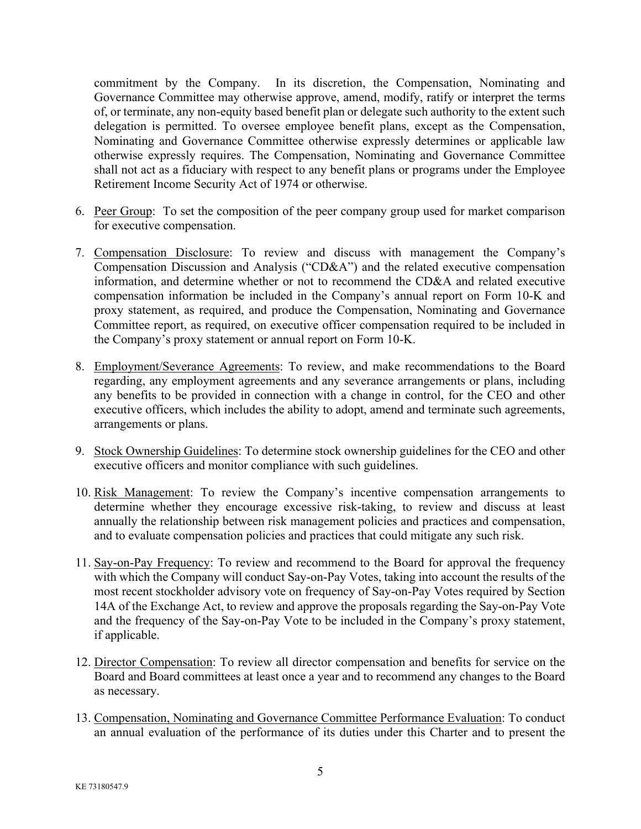commitment by the Company. In its discretion, the Compensation, Nominating and Governance Committee may otherwise approve, amend, modify, ratify or interpret the terms of, or terminate, any non-equity based benefit plan or delegate such authority to the extent such delegation is permitted. To oversee employee benefit plans, except as the Compensation, Nominating and Governance Committee otherwise expressly determines or applicable law otherwise expressly requires. The Compensation, Nominating and Governance Committee shall not act as a fiduciary with respect to any benefit plans or programs under the Employee Retirement Income Security Act of 1974 or otherwise.

- 6. Peer Group: To set the composition of the peer company group used for market comparison for executive compensation.
- 7. Compensation Disclosure: To review and discuss with management the Company's Compensation Discussion and Analysis ("CD&A") and the related executive compensation information, and determine whether or not to recommend the CD&A and related executive compensation information be included in the Company's annual report on Form 10-K and proxy statement, as required, and produce the Compensation, Nominating and Governance Committee report, as required, on executive officer compensation required to be included in the Company's proxy statement or annual report on Form 10-K.
- 8. Employment/Severance Agreements: To review, and make recommendations to the Board regarding, any employment agreements and any severance arrangements or plans, including any benefits to be provided in connection with a change in control, for the CEO and other executive officers, which includes the ability to adopt, amend and terminate such agreements, arrangements or plans.
- 9. Stock Ownership Guidelines: To determine stock ownership guidelines for the CEO and other executive officers and monitor compliance with such guidelines.
- 10. Risk Management: To review the Company's incentive compensation arrangements to determine whether they encourage excessive risk-taking, to review and discuss at least annually the relationship between risk management policies and practices and compensation, and to evaluate compensation policies and practices that could mitigate any such risk.
- 11. Say-on-Pay Frequency: To review and recommend to the Board for approval the frequency with which the Company will conduct Say-on-Pay Votes, taking into account the results of the most recent stockholder advisory vote on frequency of Say-on-Pay Votes required by Section 14A of the Exchange Act, to review and approve the proposals regarding the Say-on-Pay Vote and the frequency of the Say-on-Pay Vote to be included in the Company's proxy statement, if applicable.
- 12. Director Compensation: To review all director compensation and benefits for service on the Board and Board committees at least once a year and to recommend any changes to the Board as necessary.
- 13. Compensation, Nominating and Governance Committee Performance Evaluation: To conduct an annual evaluation of the performance of its duties under this Charter and to present the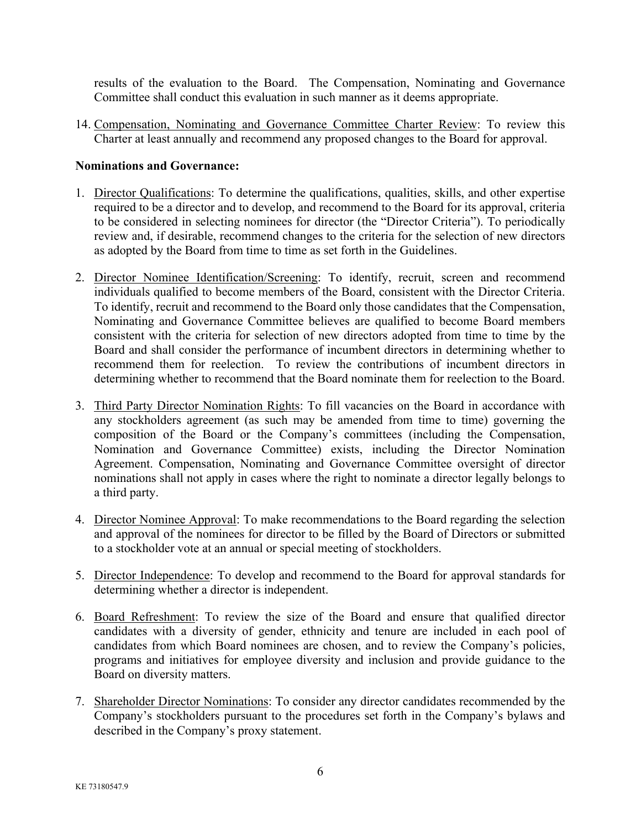results of the evaluation to the Board. The Compensation, Nominating and Governance Committee shall conduct this evaluation in such manner as it deems appropriate.

14. Compensation, Nominating and Governance Committee Charter Review: To review this Charter at least annually and recommend any proposed changes to the Board for approval.

## **Nominations and Governance:**

- 1. Director Qualifications: To determine the qualifications, qualities, skills, and other expertise required to be a director and to develop, and recommend to the Board for its approval, criteria to be considered in selecting nominees for director (the "Director Criteria"). To periodically review and, if desirable, recommend changes to the criteria for the selection of new directors as adopted by the Board from time to time as set forth in the Guidelines.
- 2. Director Nominee Identification/Screening: To identify, recruit, screen and recommend individuals qualified to become members of the Board, consistent with the Director Criteria. To identify, recruit and recommend to the Board only those candidates that the Compensation, Nominating and Governance Committee believes are qualified to become Board members consistent with the criteria for selection of new directors adopted from time to time by the Board and shall consider the performance of incumbent directors in determining whether to recommend them for reelection. To review the contributions of incumbent directors in determining whether to recommend that the Board nominate them for reelection to the Board.
- 3. Third Party Director Nomination Rights: To fill vacancies on the Board in accordance with any stockholders agreement (as such may be amended from time to time) governing the composition of the Board or the Company's committees (including the Compensation, Nomination and Governance Committee) exists, including the Director Nomination Agreement. Compensation, Nominating and Governance Committee oversight of director nominations shall not apply in cases where the right to nominate a director legally belongs to a third party.
- 4. Director Nominee Approval: To make recommendations to the Board regarding the selection and approval of the nominees for director to be filled by the Board of Directors or submitted to a stockholder vote at an annual or special meeting of stockholders.
- 5. Director Independence: To develop and recommend to the Board for approval standards for determining whether a director is independent.
- 6. Board Refreshment: To review the size of the Board and ensure that qualified director candidates with a diversity of gender, ethnicity and tenure are included in each pool of candidates from which Board nominees are chosen, and to review the Company's policies, programs and initiatives for employee diversity and inclusion and provide guidance to the Board on diversity matters.
- 7. Shareholder Director Nominations: To consider any director candidates recommended by the Company's stockholders pursuant to the procedures set forth in the Company's bylaws and described in the Company's proxy statement.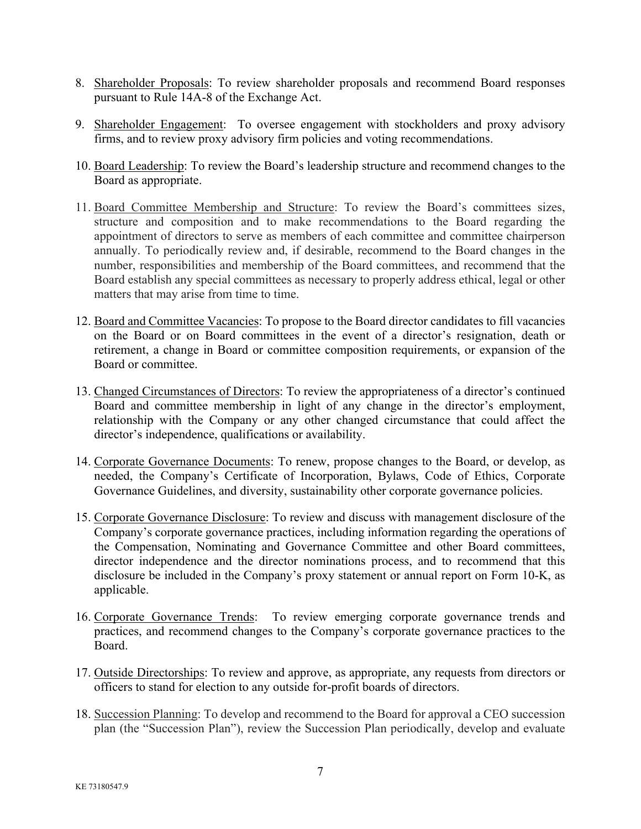- 8. Shareholder Proposals: To review shareholder proposals and recommend Board responses pursuant to Rule 14A-8 of the Exchange Act.
- 9. Shareholder Engagement: To oversee engagement with stockholders and proxy advisory firms, and to review proxy advisory firm policies and voting recommendations.
- 10. Board Leadership: To review the Board's leadership structure and recommend changes to the Board as appropriate.
- 11. Board Committee Membership and Structure: To review the Board's committees sizes, structure and composition and to make recommendations to the Board regarding the appointment of directors to serve as members of each committee and committee chairperson annually. To periodically review and, if desirable, recommend to the Board changes in the number, responsibilities and membership of the Board committees, and recommend that the Board establish any special committees as necessary to properly address ethical, legal or other matters that may arise from time to time.
- 12. Board and Committee Vacancies: To propose to the Board director candidates to fill vacancies on the Board or on Board committees in the event of a director's resignation, death or retirement, a change in Board or committee composition requirements, or expansion of the Board or committee.
- 13. Changed Circumstances of Directors: To review the appropriateness of a director's continued Board and committee membership in light of any change in the director's employment, relationship with the Company or any other changed circumstance that could affect the director's independence, qualifications or availability.
- 14. Corporate Governance Documents: To renew, propose changes to the Board, or develop, as needed, the Company's Certificate of Incorporation, Bylaws, Code of Ethics, Corporate Governance Guidelines, and diversity, sustainability other corporate governance policies.
- 15. Corporate Governance Disclosure: To review and discuss with management disclosure of the Company's corporate governance practices, including information regarding the operations of the Compensation, Nominating and Governance Committee and other Board committees, director independence and the director nominations process, and to recommend that this disclosure be included in the Company's proxy statement or annual report on Form 10-K, as applicable.
- 16. Corporate Governance Trends: To review emerging corporate governance trends and practices, and recommend changes to the Company's corporate governance practices to the Board.
- 17. Outside Directorships: To review and approve, as appropriate, any requests from directors or officers to stand for election to any outside for-profit boards of directors.
- 18. Succession Planning: To develop and recommend to the Board for approval a CEO succession plan (the "Succession Plan"), review the Succession Plan periodically, develop and evaluate